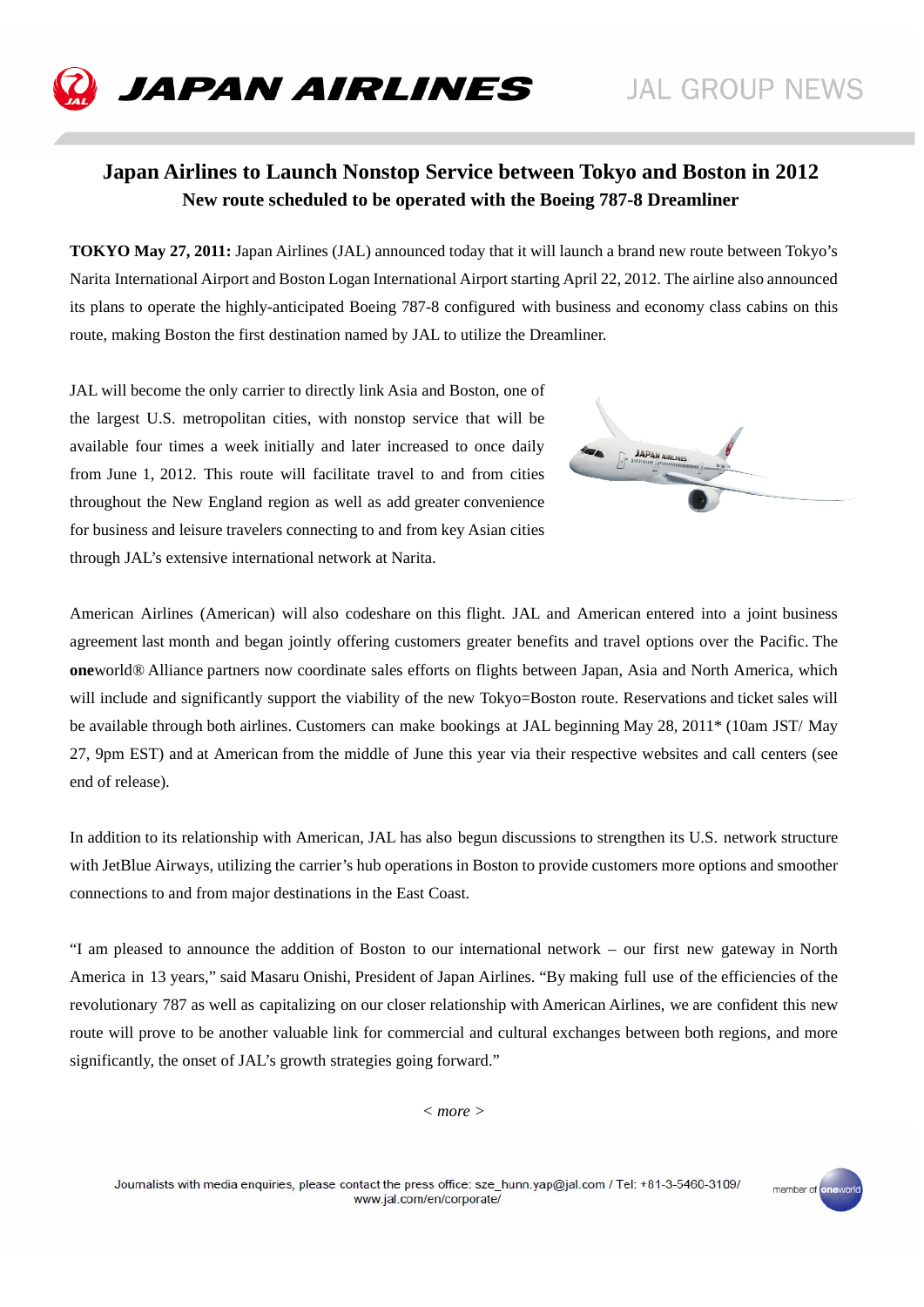

# **Japan Airlines to Launch Nonstop Service between Tokyo and Boston in 2012 New route scheduled to be operated with the Boeing 787-8 Dreamliner**

**TOKYO May 27, 2011:** Japan Airlines (JAL) announced today that it will launch a brand new route between Tokyo's Narita International Airport and Boston Logan International Airport starting April 22, 2012. The airline also announced its plans to operate the highly-anticipated Boeing 787-8 configured with business and economy class cabins on this route, making Boston the first destination named by JAL to utilize the Dreamliner.

JAL will become the only carrier to directly link Asia and Boston, one of the largest U.S. metropolitan cities, with nonstop service that will be available four times a week initially and later increased to once daily from June 1, 2012. This route will facilitate travel to and from cities throughout the New England region as well as add greater convenience for business and leisure travelers connecting to and from key Asian cities through JAL's extensive international network at Narita.



member of one

American Airlines (American) will also codeshare on this flight. JAL and American entered into a joint business agreement last month and began jointly offering customers greater benefits and travel options over the Pacific. The **one**world® Alliance partners now coordinate sales efforts on flights between Japan, Asia and North America, which will include and significantly support the viability of the new Tokyo=Boston route. Reservations and ticket sales will be available through both airlines. Customers can make bookings at JAL beginning May 28, 2011\* (10am JST/ May 27, 9pm EST) and at American from the middle of June this year via their respective websites and call centers (see end of release).

In addition to its relationship with American, JAL has also begun discussions to strengthen its U.S. network structure with JetBlue Airways, utilizing the carrier's hub operations in Boston to provide customers more options and smoother connections to and from major destinations in the East Coast.

"I am pleased to announce the addition of Boston to our international network – our first new gateway in North America in 13 years," said Masaru Onishi, President of Japan Airlines. "By making full use of the efficiencies of the revolutionary 787 as well as capitalizing on our closer relationship with American Airlines, we are confident this new route will prove to be another valuable link for commercial and cultural exchanges between both regions, and more significantly, the onset of JAL's growth strategies going forward."

*< more >* 

Journalists with media enquiries, please contact the press office: sze hunn.yap@jal.com / Tel: +81-3-5460-3109/ www.jal.com/en/corporate/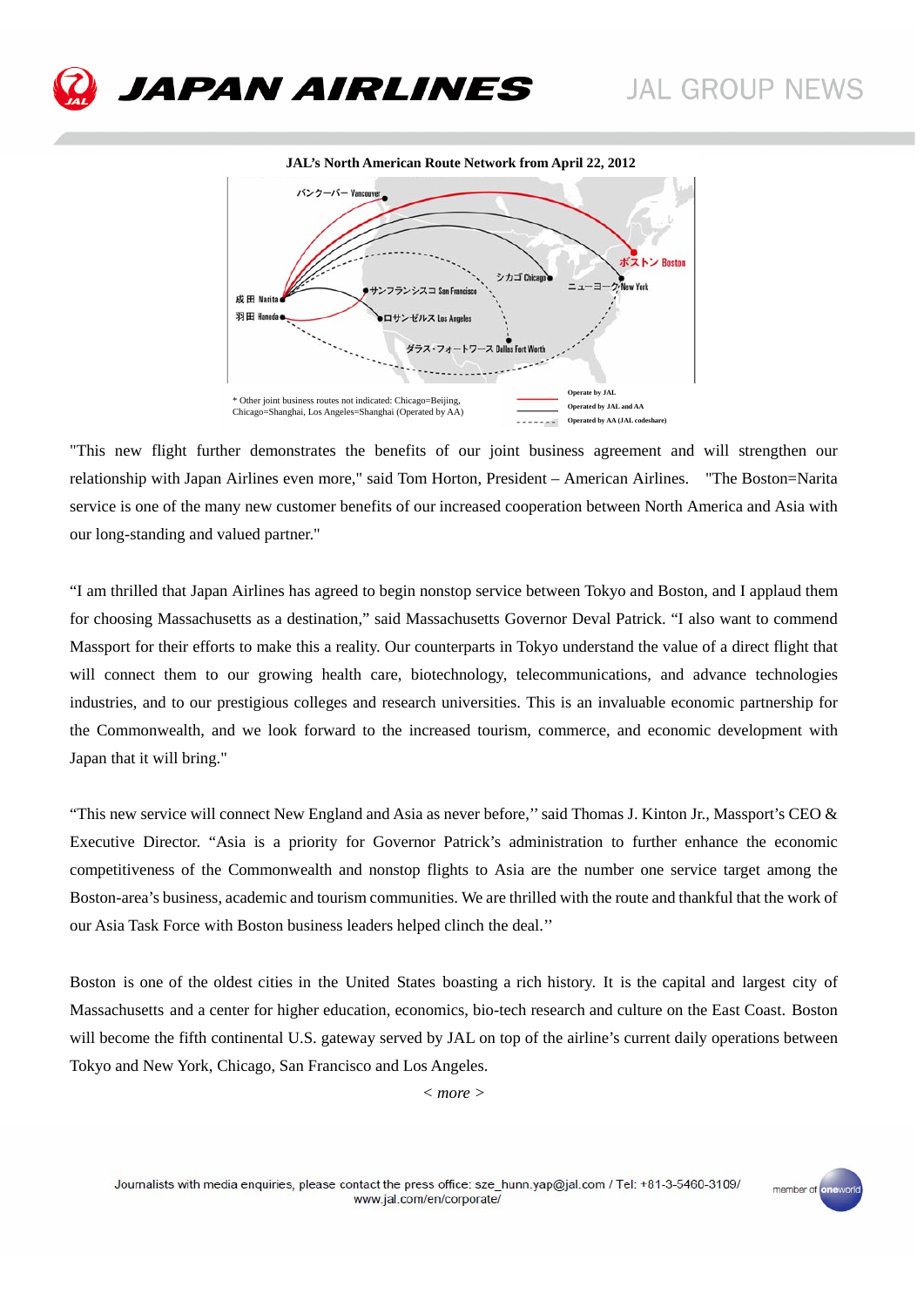member of one





"This new flight further demonstrates the benefits of our joint business agreement and will strengthen our relationship with Japan Airlines even more," said Tom Horton, President – American Airlines. "The Boston=Narita service is one of the many new customer benefits of our increased cooperation between North America and Asia with our long-standing and valued partner."

"I am thrilled that Japan Airlines has agreed to begin nonstop service between Tokyo and Boston, and I applaud them for choosing Massachusetts as a destination," said Massachusetts Governor Deval Patrick. "I also want to commend Massport for their efforts to make this a reality. Our counterparts in Tokyo understand the value of a direct flight that will connect them to our growing health care, biotechnology, telecommunications, and advance technologies industries, and to our prestigious colleges and research universities. This is an invaluable economic partnership for the Commonwealth, and we look forward to the increased tourism, commerce, and economic development with Japan that it will bring."

"This new service will connect New England and Asia as never before," said Thomas J. Kinton Jr., Massport's CEO  $\&$ Executive Director. "Asia is a priority for Governor Patrick's administration to further enhance the economic competitiveness of the Commonwealth and nonstop flights to Asia are the number one service target among the Boston-area's business, academic and tourism communities. We are thrilled with the route and thankful that the work of our Asia Task Force with Boston business leaders helped clinch the deal.''

Boston is one of the oldest cities in the United States boasting a rich history. It is the capital and largest city of Massachusetts and a center for higher education, economics, bio-tech research and culture on the East Coast. Boston will become the fifth continental U.S. gateway served by JAL on top of the airline's current daily operations between Tokyo and New York, Chicago, San Francisco and Los Angeles.

*< more >*